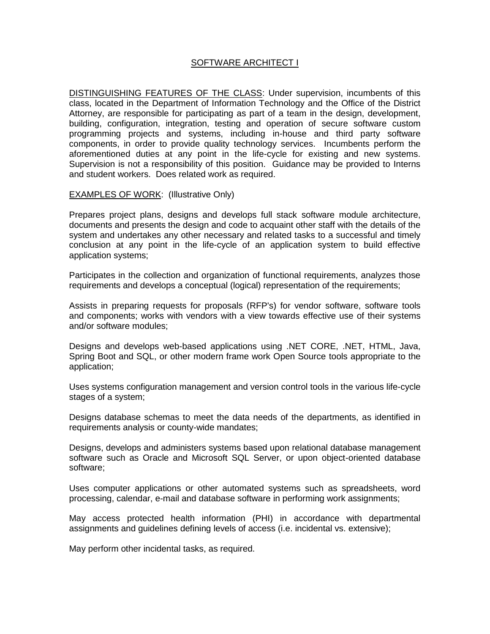## SOFTWARE ARCHITECT I

DISTINGUISHING FEATURES OF THE CLASS: Under supervision, incumbents of this class, located in the Department of Information Technology and the Office of the District Attorney, are responsible for participating as part of a team in the design, development, building, configuration, integration, testing and operation of secure software custom programming projects and systems, including in-house and third party software components, in order to provide quality technology services. Incumbents perform the aforementioned duties at any point in the life-cycle for existing and new systems. Supervision is not a responsibility of this position. Guidance may be provided to Interns and student workers. Does related work as required.

## **EXAMPLES OF WORK: (Illustrative Only)**

Prepares project plans, designs and develops full stack software module architecture, documents and presents the design and code to acquaint other staff with the details of the system and undertakes any other necessary and related tasks to a successful and timely conclusion at any point in the life-cycle of an application system to build effective application systems;

Participates in the collection and organization of functional requirements, analyzes those requirements and develops a conceptual (logical) representation of the requirements;

Assists in preparing requests for proposals (RFP's) for vendor software, software tools and components; works with vendors with a view towards effective use of their systems and/or software modules;

Designs and develops web-based applications using .NET CORE, .NET, HTML, Java, Spring Boot and SQL, or other modern frame work Open Source tools appropriate to the application;

Uses systems configuration management and version control tools in the various life-cycle stages of a system;

Designs database schemas to meet the data needs of the departments, as identified in requirements analysis or county-wide mandates;

Designs, develops and administers systems based upon relational database management software such as Oracle and Microsoft SQL Server, or upon object-oriented database software;

Uses computer applications or other automated systems such as spreadsheets, word processing, calendar, e-mail and database software in performing work assignments;

May access protected health information (PHI) in accordance with departmental assignments and guidelines defining levels of access (i.e. incidental vs. extensive);

May perform other incidental tasks, as required.